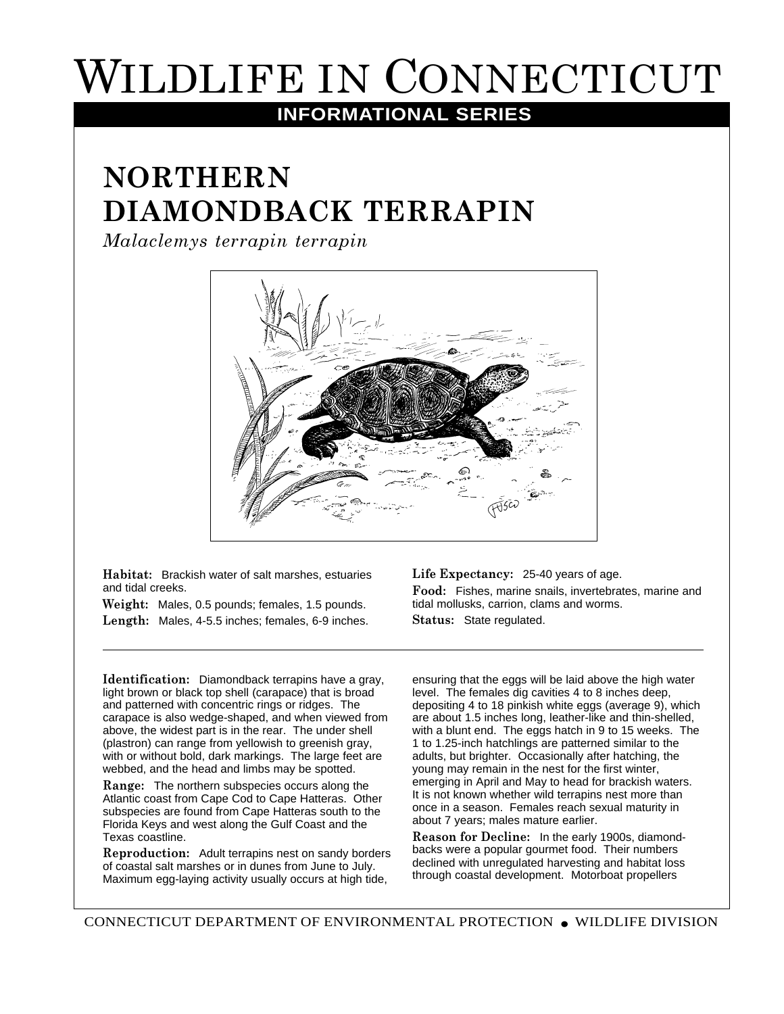## WILDLIFE IN CONNECTICUT

## **INFORMATIONAL SERIES**

## **NORTHERN DIAMONDBACK TERRAPIN**

*Malaclemys terrapin terrapin*



**Habitat:** Brackish water of salt marshes, estuaries and tidal creeks.

**Weight:** Males, 0.5 pounds; females, 1.5 pounds. **Length:** Males, 4-5.5 inches; females, 6-9 inches. **Life Expectancy:** 25-40 years of age.

**Food:** Fishes, marine snails, invertebrates, marine and tidal mollusks, carrion, clams and worms. **Status:** State regulated.

**Identification:** Diamondback terrapins have a gray, light brown or black top shell (carapace) that is broad and patterned with concentric rings or ridges. The carapace is also wedge-shaped, and when viewed from above, the widest part is in the rear. The under shell (plastron) can range from yellowish to greenish gray, with or without bold, dark markings. The large feet are webbed, and the head and limbs may be spotted.

**Range:** The northern subspecies occurs along the Atlantic coast from Cape Cod to Cape Hatteras. Other subspecies are found from Cape Hatteras south to the Florida Keys and west along the Gulf Coast and the Texas coastline.

**Reproduction:** Adult terrapins nest on sandy borders of coastal salt marshes or in dunes from June to July. Maximum egg-laying activity usually occurs at high tide,

ensuring that the eggs will be laid above the high water level. The females dig cavities 4 to 8 inches deep, depositing 4 to 18 pinkish white eggs (average 9), which are about 1.5 inches long, leather-like and thin-shelled, with a blunt end. The eggs hatch in 9 to 15 weeks. The 1 to 1.25-inch hatchlings are patterned similar to the adults, but brighter. Occasionally after hatching, the young may remain in the nest for the first winter, emerging in April and May to head for brackish waters. It is not known whether wild terrapins nest more than once in a season. Females reach sexual maturity in about 7 years; males mature earlier.

**Reason for Decline:** In the early 1900s, diamondbacks were a popular gourmet food. Their numbers declined with unregulated harvesting and habitat loss through coastal development. Motorboat propellers

CONNECTICUT DEPARTMENT OF ENVIRONMENTAL PROTECTION ● WILDLIFE DIVISION